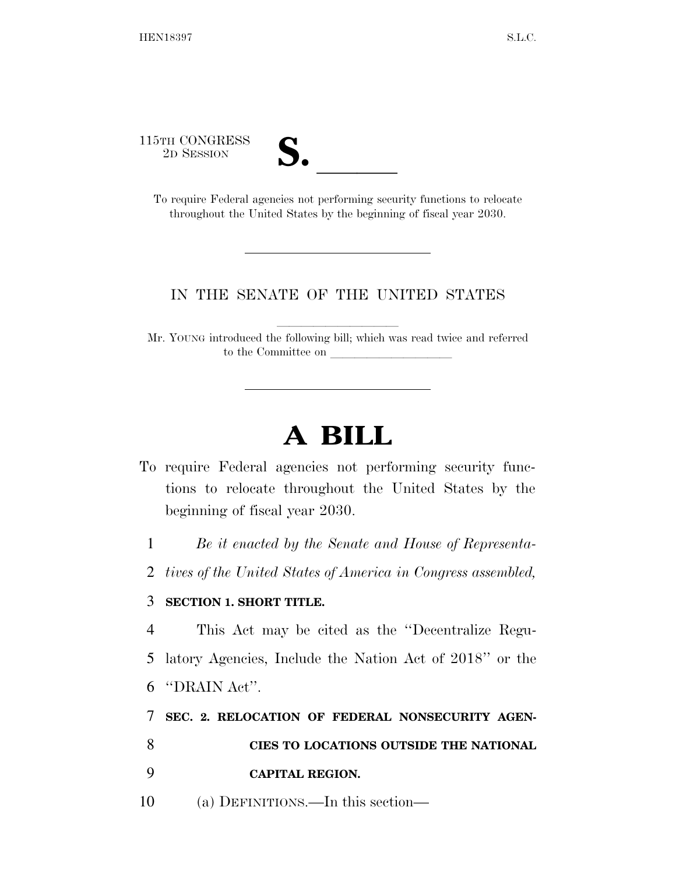115TH CONGRESS



<sup>5TH</sup> CONGRESS<br>
2D SESSION<br>
To require Federal agencies not performing security functions to relocate throughout the United States by the beginning of fiscal year 2030.

## IN THE SENATE OF THE UNITED STATES

Mr. YOUNG introduced the following bill; which was read twice and referred to the Committee on

## **A BILL**

To require Federal agencies not performing security functions to relocate throughout the United States by the beginning of fiscal year 2030.

1 *Be it enacted by the Senate and House of Representa-*

2 *tives of the United States of America in Congress assembled,* 

## 3 **SECTION 1. SHORT TITLE.**

4 This Act may be cited as the ''Decentralize Regu-5 latory Agencies, Include the Nation Act of 2018'' or the 6 ''DRAIN Act''.

7 **SEC. 2. RELOCATION OF FEDERAL NONSECURITY AGEN-**

8 **CIES TO LOCATIONS OUTSIDE THE NATIONAL** 

- 9 **CAPITAL REGION.**
- 10 (a) DEFINITIONS.—In this section—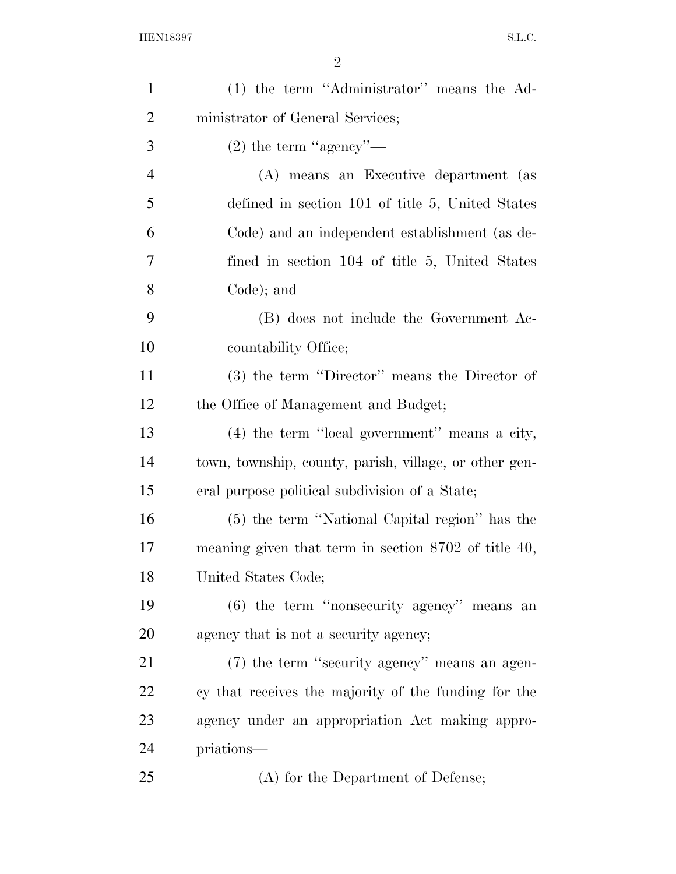| $\mathbf{1}$   | (1) the term "Administrator" means the Ad-             |
|----------------|--------------------------------------------------------|
| $\overline{2}$ | ministrator of General Services;                       |
| 3              | $(2)$ the term "agency"—                               |
| $\overline{4}$ | (A) means an Executive department (as                  |
| 5              | defined in section 101 of title 5, United States       |
| 6              | Code) and an independent establishment (as de-         |
| 7              | fined in section 104 of title 5, United States         |
| 8              | Code); and                                             |
| 9              | (B) does not include the Government Ac-                |
| 10             | countability Office;                                   |
| 11             | (3) the term "Director" means the Director of          |
| 12             | the Office of Management and Budget;                   |
| 13             | $(4)$ the term "local government" means a city,        |
| 14             | town, township, county, parish, village, or other gen- |
| 15             | eral purpose political subdivision of a State;         |
| 16             | (5) the term "National Capital region" has the         |
| 17             | meaning given that term in section $8702$ of title 40, |
| 18             | United States Code;                                    |
| 19             | $(6)$ the term "nonsecurity agency" means an           |
| 20             | agency that is not a security agency;                  |
| 21             | (7) the term "security agency" means an agen-          |
| 22             | cy that receives the majority of the funding for the   |
| 23             | agency under an appropriation Act making appro-        |
| 24             | priations—                                             |
| 25             | (A) for the Department of Defense;                     |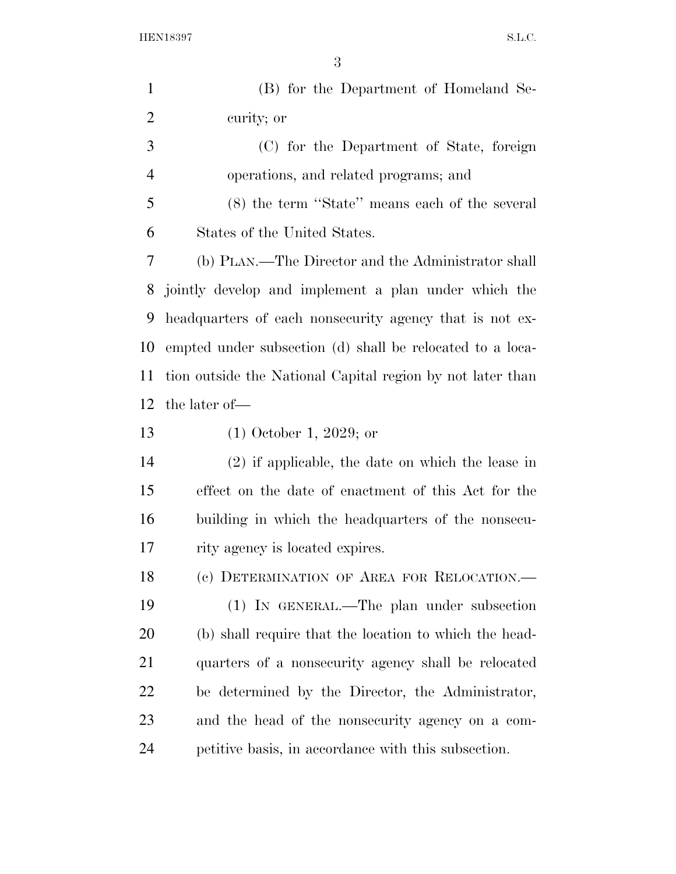| $\mathbf{1}$   | (B) for the Department of Homeland Se-                     |
|----------------|------------------------------------------------------------|
| $\overline{2}$ | curity; or                                                 |
| 3              | (C) for the Department of State, foreign                   |
| $\overline{4}$ | operations, and related programs; and                      |
| 5              | (8) the term "State" means each of the several             |
| 6              | States of the United States.                               |
| 7              | (b) PLAN.—The Director and the Administrator shall         |
| 8              | jointly develop and implement a plan under which the       |
| 9              | headquarters of each nonsecurity agency that is not ex-    |
| 10             | empted under subsection (d) shall be relocated to a loca-  |
| 11             | tion outside the National Capital region by not later than |
| 12             | the later of-                                              |
| 13             | $(1)$ October 1, 2029; or                                  |
| 14             | $(2)$ if applicable, the date on which the lease in        |
| 15             | effect on the date of enactment of this Act for the        |
| 16             | building in which the headquarters of the nonsecu-         |
| 17             | rity agency is located expires.                            |
| 18             | (c) DETERMINATION OF AREA FOR RELOCATION.                  |
| 19             | (1) IN GENERAL.—The plan under subsection                  |
| 20             | (b) shall require that the location to which the head-     |
| 21             | quarters of a nonsecurity agency shall be relocated        |
| 22             | be determined by the Director, the Administrator,          |
| 23             | and the head of the nonsecurity agency on a com-           |
| 24             | petitive basis, in accordance with this subsection.        |
|                |                                                            |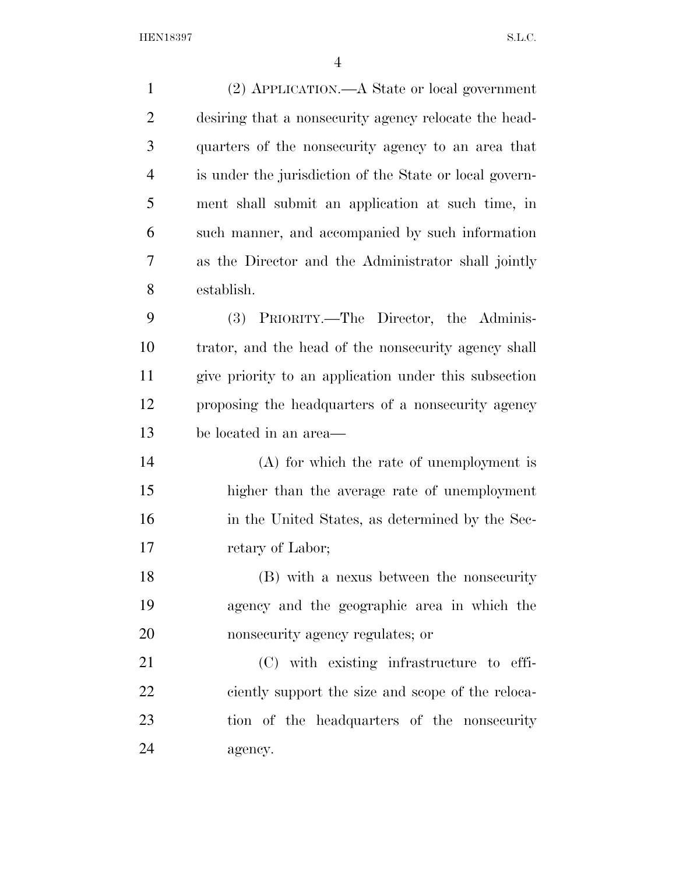| $\mathbf{1}$   | (2) APPLICATION.—A State or local government            |
|----------------|---------------------------------------------------------|
| $\overline{2}$ | desiring that a nonsecurity agency relocate the head-   |
| 3              | quarters of the nonsecurity agency to an area that      |
| $\overline{4}$ | is under the jurisdiction of the State or local govern- |
| 5              | ment shall submit an application at such time, in       |
| 6              | such manner, and accompanied by such information        |
| 7              | as the Director and the Administrator shall jointly     |
| 8              | establish.                                              |
| 9              | (3) PRIORITY.—The Director, the Adminis-                |
| 10             | trator, and the head of the nonsecurity agency shall    |
| 11             | give priority to an application under this subsection   |
| 12             | proposing the headquarters of a nonsecurity agency      |
| 13             | be located in an area—                                  |
| 14             | $(A)$ for which the rate of unemployment is             |
| 15             | higher than the average rate of unemployment            |
| 16             | in the United States, as determined by the Sec-         |
| 17             | retary of Labor;                                        |
| 18             | (B) with a nexus between the nonsecurity                |
| 19             | agency and the geographic area in which the             |
| 20             | nonsecurity agency regulates; or                        |
| 21             | (C) with existing infrastructure to effi-               |
| 22             | ciently support the size and scope of the reloca-       |
| 23             | tion of the headquarters of the nonsecurity             |
| 24             | agency.                                                 |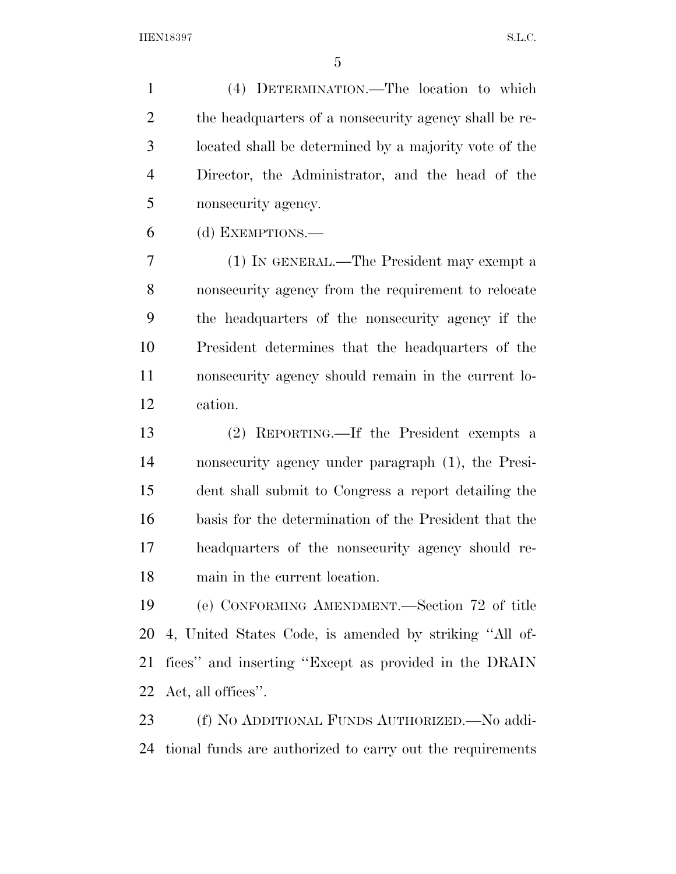(4) DETERMINATION.—The location to which 2 the headquarters of a nonsecurity agency shall be re- located shall be determined by a majority vote of the Director, the Administrator, and the head of the nonsecurity agency.

(d) EXEMPTIONS.—

 (1) IN GENERAL.—The President may exempt a nonsecurity agency from the requirement to relocate the headquarters of the nonsecurity agency if the President determines that the headquarters of the nonsecurity agency should remain in the current lo-cation.

 (2) REPORTING.—If the President exempts a nonsecurity agency under paragraph (1), the Presi- dent shall submit to Congress a report detailing the basis for the determination of the President that the headquarters of the nonsecurity agency should re-main in the current location.

 (e) CONFORMING AMENDMENT.—Section 72 of title 4, United States Code, is amended by striking ''All of- fices'' and inserting ''Except as provided in the DRAIN Act, all offices''.

 (f) NO ADDITIONAL FUNDS AUTHORIZED.—No addi-tional funds are authorized to carry out the requirements